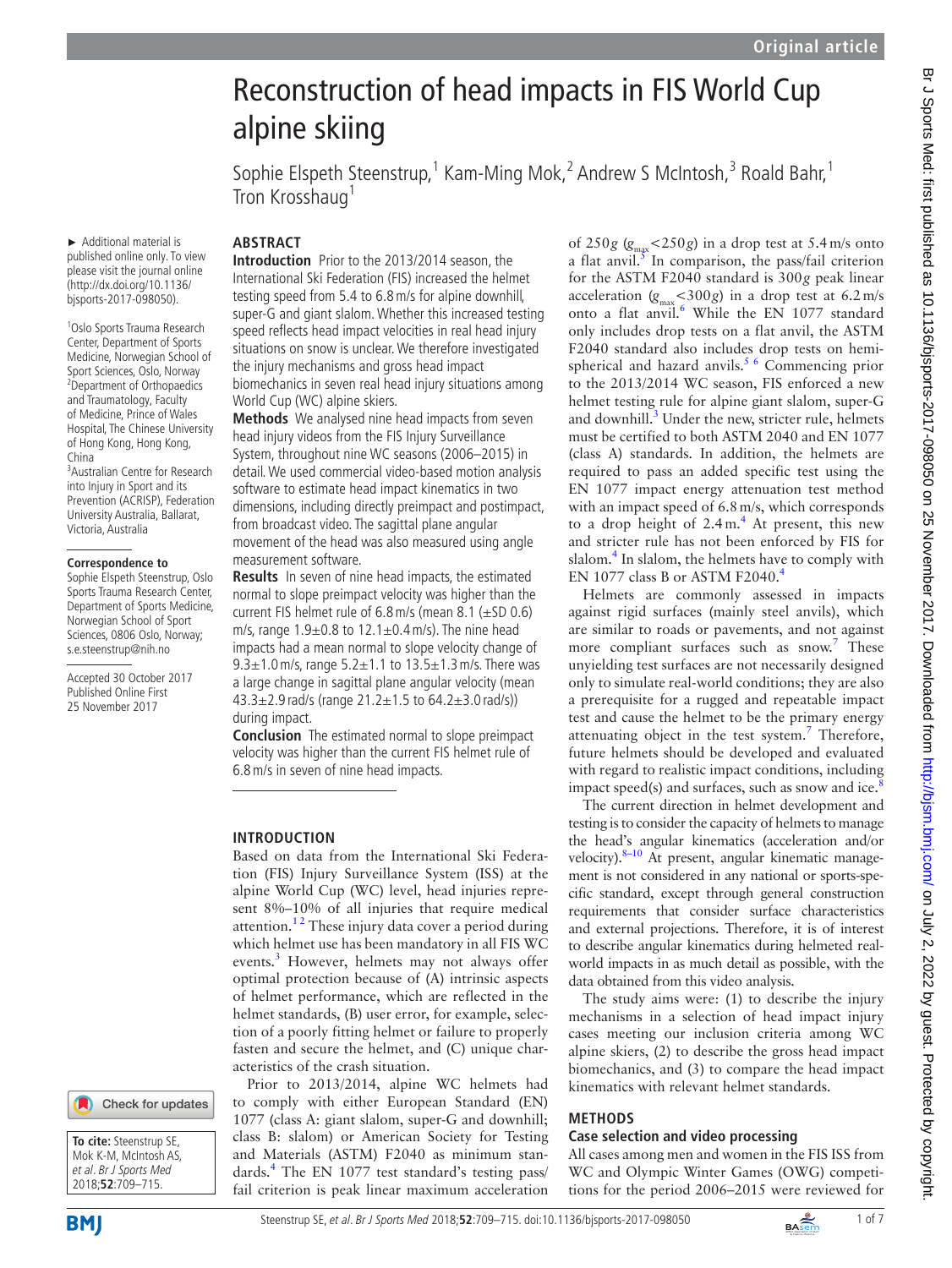# Reconstruction of head impacts in FIS World Cup alpine skiing Sophie Elspeth Steenstrup,<sup>1</sup> Kam-Ming Mok,<sup>2</sup> Andrew S McIntosh,<sup>3</sup> Roald Bahr,<sup>1</sup> Tron Krosshaug<sup>1</sup> **Abstract**

► Additional material is published online only. To view please visit the journal online (http://dx.doi.org/10.1136/ bjsports-2017-098050).

1 Oslo Sports Trauma Research Center, Department of Sports Medicine, Norwegian School of Sport Sciences, Oslo, Norway <sup>2</sup> Department of Orthopaedics and Traumatology, Faculty of Medicine, Prince of Wales Hospital, The Chinese University of Hong Kong, Hong Kong, China

3 Australian Centre for Research into Injury in Sport and its Prevention (ACRISP), Federation University Australia, Ballarat, Victoria, Australia

#### **Correspondence to**

Sophie Elspeth Steenstrup, Oslo Sports Trauma Research Center, Department of Sports Medicine, Norwegian School of Sport Sciences, 0806 Oslo, Norway; s.e.steenstrup@nih.no

Accepted 30 October 2017 Published Online First 25 November 2017





**Introduction** Prior to the 2013/2014 season, the International Ski Federation (FIS) increased the helmet testing speed from 5.4 to 6.8m/s for alpine downhill, super-G and giant slalom. Whether this increased testing speed reflects head impact velocities in real head injury situations on snow is unclear. We therefore investigated the injury mechanisms and gross head impact biomechanics in seven real head injury situations among World Cup (WC) alpine skiers.

**Methods** We analysed nine head impacts from seven head injury videos from the FIS Injury Surveillance System, throughout nine WC seasons (2006–2015) in detail. We used commercial video-based motion analysis software to estimate head impact kinematics in two dimensions, including directly preimpact and postimpact, from broadcast video. The sagittal plane angular movement of the head was also measured using angle measurement software.

**Results** In seven of nine head impacts, the estimated normal to slope preimpact velocity was higher than the current FIS helmet rule of 6.8m/s (mean 8.1 (±SD 0.6) m/s, range  $1.9\pm0.8$  to  $12.1\pm0.4$  m/s). The nine head impacts had a mean normal to slope velocity change of 9.3±1.0 m/s, range 5.2±1.1 to 13.5±1.3 m/s. There was a large change in sagittal plane angular velocity (mean 43.3±2.9 rad/s (range 21.2±1.5 to 64.2±3.0 rad/s)) during impact.

**Conclusion** The estimated normal to slope preimpact velocity was higher than the current FIS helmet rule of 6.8m/s in seven of nine head impacts.

## **Introduction**

Based on data from the International Ski Federation (FIS) Injury Surveillance System (ISS) at the alpine World Cup (WC) level, head injuries represent 8%–10% of all injuries that require medical attention.<sup>12</sup> These injury data cover a period during which helmet use has been mandatory in all FIS WC events.<sup>[3](#page-6-1)</sup> However, helmets may not always offer optimal protection because of (A) intrinsic aspects of helmet performance, which are reflected in the helmet standards, (B) user error, for example, selection of a poorly fitting helmet or failure to properly fasten and secure the helmet, and (C) unique characteristics of the crash situation.

Prior to 2013/2014, alpine WC helmets had to comply with either European Standard (EN) 1077 (class A: giant slalom, super-G and downhill; class B: slalom) or American Society for Testing and Materials (ASTM) F2040 as minimum stan-dards.<sup>[4](#page-6-2)</sup> The EN 1077 test standard's testing pass/ fail criterion is peak linear maximum acceleration

of  $250g \ (g_{\text{max}} < 250g)$  in a drop test at  $5.4 \,\text{m/s}$  onto a flat anvil. $\frac{3}{5}$  $\frac{3}{5}$  $\frac{3}{5}$  In comparison, the pass/fail criterion for the ASTM F2040 standard is 300*g* peak linear acceleration  $(g_{\text{max}} < 300g)$  in a drop test at  $6.2 \text{ m/s}$ onto a flat anvil.<sup>[6](#page-6-4)</sup> While the EN 1077 standard only includes drop tests on a flat anvil, the ASTM F2040 standard also includes drop tests on hemispherical and hazard anvils.<sup>5 6</sup> Commencing prior to the 2013/2014 WC season, FIS enforced a new helmet testing rule for alpine giant slalom, super-G and downhill.<sup>[3](#page-6-1)</sup> Under the new, stricter rule, helmets must be certified to both ASTM 2040 and EN 1077 (class A) standards. In addition, the helmets are required to pass an added specific test using the EN 1077 impact energy attenuation test method with an impact speed of 6.8 m/s, which corresponds to a drop height of  $2.4 \text{ m}$  $2.4 \text{ m}$  $2.4 \text{ m}$ .<sup>4</sup> At present, this new and stricter rule has not been enforced by FIS for slalom.<sup>4</sup> In slalom, the helmets have to comply with EN 1077 class B or ASTM F20[4](#page-6-2)0.<sup>4</sup>

Helmets are commonly assessed in impacts against rigid surfaces (mainly steel anvils), which are similar to roads or pavements, and not against more compliant surfaces such as snow.<sup>7</sup> These unyielding test surfaces are not necessarily designed only to simulate real-world conditions; they are also a prerequisite for a rugged and repeatable impact test and cause the helmet to be the primary energy attenuating object in the test system. $7$  Therefore, future helmets should be developed and evaluated with regard to realistic impact conditions, including impact speed(s) and surfaces, such as snow and ice. $8$ 

The current direction in helmet development and testing is to consider the capacity of helmets to manage the head's angular kinematics (acceleration and/or velocity). $8-10$  At present, angular kinematic management is not considered in any national or sports-specific standard, except through general construction requirements that consider surface characteristics and external projections. Therefore, it is of interest to describe angular kinematics during helmeted realworld impacts in as much detail as possible, with the data obtained from this video analysis.

The study aims were: (1) to describe the injury mechanisms in a selection of head impact injury cases meeting our inclusion criteria among WC alpine skiers, (2) to describe the gross head impact biomechanics, and (3) to compare the head impact kinematics with relevant helmet standards.

#### **Methods**

## **Case selection and video processing**

All cases among men and women in the FIS ISS from WC and Olympic Winter Games (OWG) competitions for the period 2006–2015 were reviewed for

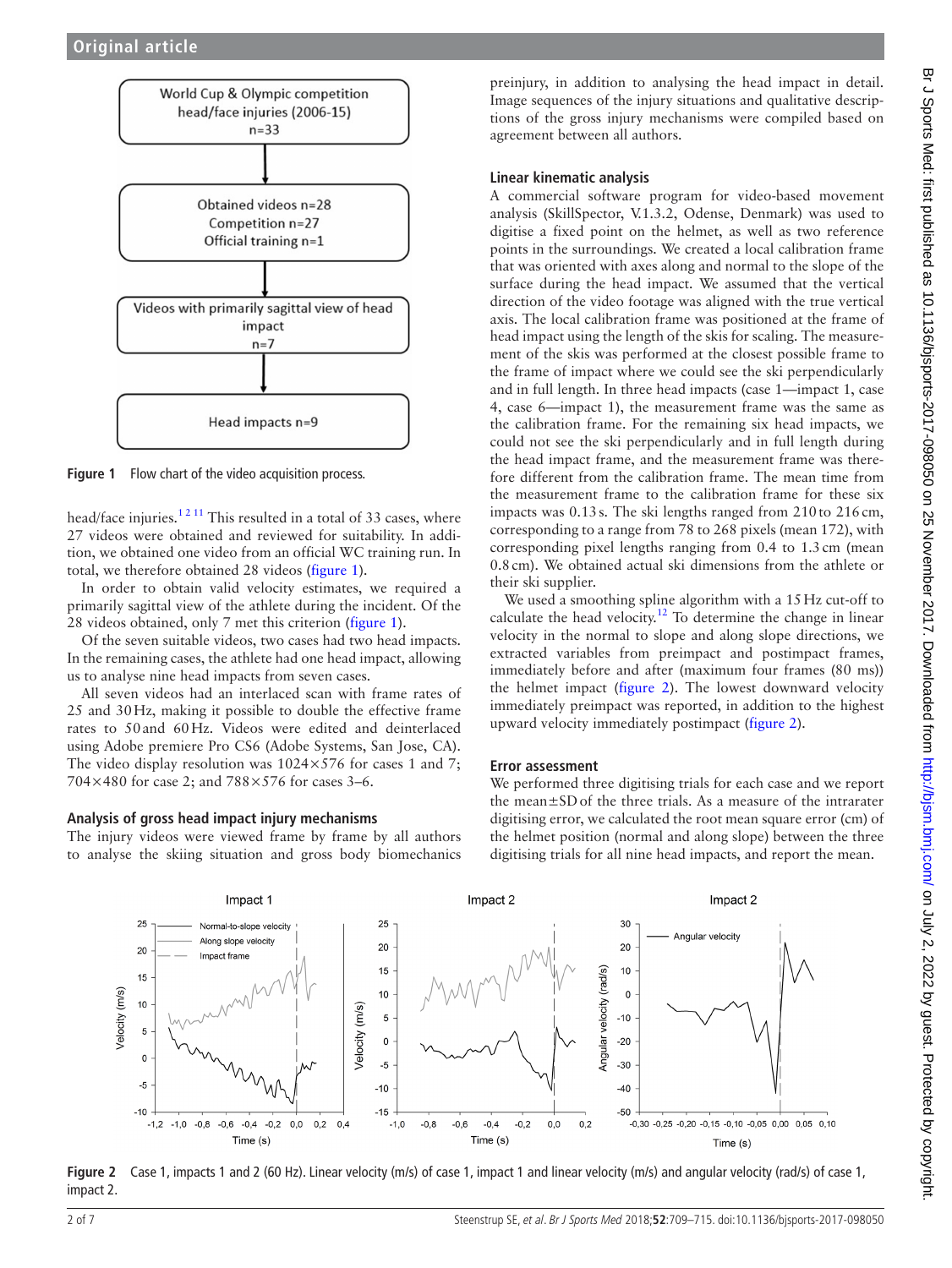

<span id="page-1-0"></span>Figure 1 Flow chart of the video acquisition process.

head/face injuries.<sup>12 11</sup> This resulted in a total of 33 cases, where 27 videos were obtained and reviewed for suitability. In addition, we obtained one video from an official WC training run. In total, we therefore obtained 28 videos ([figure](#page-1-0) 1).

In order to obtain valid velocity estimates, we required a primarily sagittal view of the athlete during the incident. Of the 28 videos obtained, only 7 met this criterion ([figure](#page-1-0) 1).

Of the seven suitable videos, two cases had two head impacts. In the remaining cases, the athlete had one head impact, allowing us to analyse nine head impacts from seven cases.

All seven videos had an interlaced scan with frame rates of 25 and 30Hz, making it possible to double the effective frame rates to 50and 60Hz. Videos were edited and deinterlaced using Adobe premiere Pro CS6 (Adobe Systems, San Jose, CA). The video display resolution was  $1024 \times 576$  for cases 1 and 7; 704×480 for case 2; and 788×576 for cases 3–6.

## **Analysis of gross head impact injury mechanisms**

The injury videos were viewed frame by frame by all authors to analyse the skiing situation and gross body biomechanics

preinjury, in addition to analysing the head impact in detail. Image sequences of the injury situations and qualitative descriptions of the gross injury mechanisms were compiled based on agreement between all authors.

### **Linear kinematic analysis**

A commercial software program for video-based movement analysis (SkillSpector, V.1.3.2, Odense, Denmark) was used to digitise a fixed point on the helmet, as well as two reference points in the surroundings. We created a local calibration frame that was oriented with axes along and normal to the slope of the surface during the head impact. We assumed that the vertical direction of the video footage was aligned with the true vertical axis. The local calibration frame was positioned at the frame of head impact using the length of the skis for scaling. The measurement of the skis was performed at the closest possible frame to the frame of impact where we could see the ski perpendicularly and in full length. In three head impacts (case 1—impact 1, case 4, case 6—impact 1), the measurement frame was the same as the calibration frame. For the remaining six head impacts, we could not see the ski perpendicularly and in full length during the head impact frame, and the measurement frame was therefore different from the calibration frame. The mean time from the measurement frame to the calibration frame for these six impacts was 0.13s. The ski lengths ranged from 210to 216cm, corresponding to a range from 78 to 268 pixels (mean 172), with corresponding pixel lengths ranging from 0.4 to 1.3cm (mean 0.8cm). We obtained actual ski dimensions from the athlete or their ski supplier.

We used a smoothing spline algorithm with a 15Hz cut-off to calculate the head velocity.<sup>12</sup> To determine the change in linear velocity in the normal to slope and along slope directions, we extracted variables from preimpact and postimpact frames, immediately before and after (maximum four frames (80 ms)) the helmet impact [\(figure](#page-1-1) 2). The lowest downward velocity immediately preimpact was reported, in addition to the highest upward velocity immediately postimpact ([figure](#page-1-1) 2).

## **Error assessment**

We performed three digitising trials for each case and we report the mean±SDof the three trials. As a measure of the intrarater digitising error, we calculated the root mean square error (cm) of the helmet position (normal and along slope) between the three digitising trials for all nine head impacts, and report the mean.



<span id="page-1-1"></span>**Figure 2** Case 1, impacts 1 and 2 (60 Hz). Linear velocity (m/s) of case 1, impact 1 and linear velocity (m/s) and angular velocity (rad/s) of case 1, impact 2.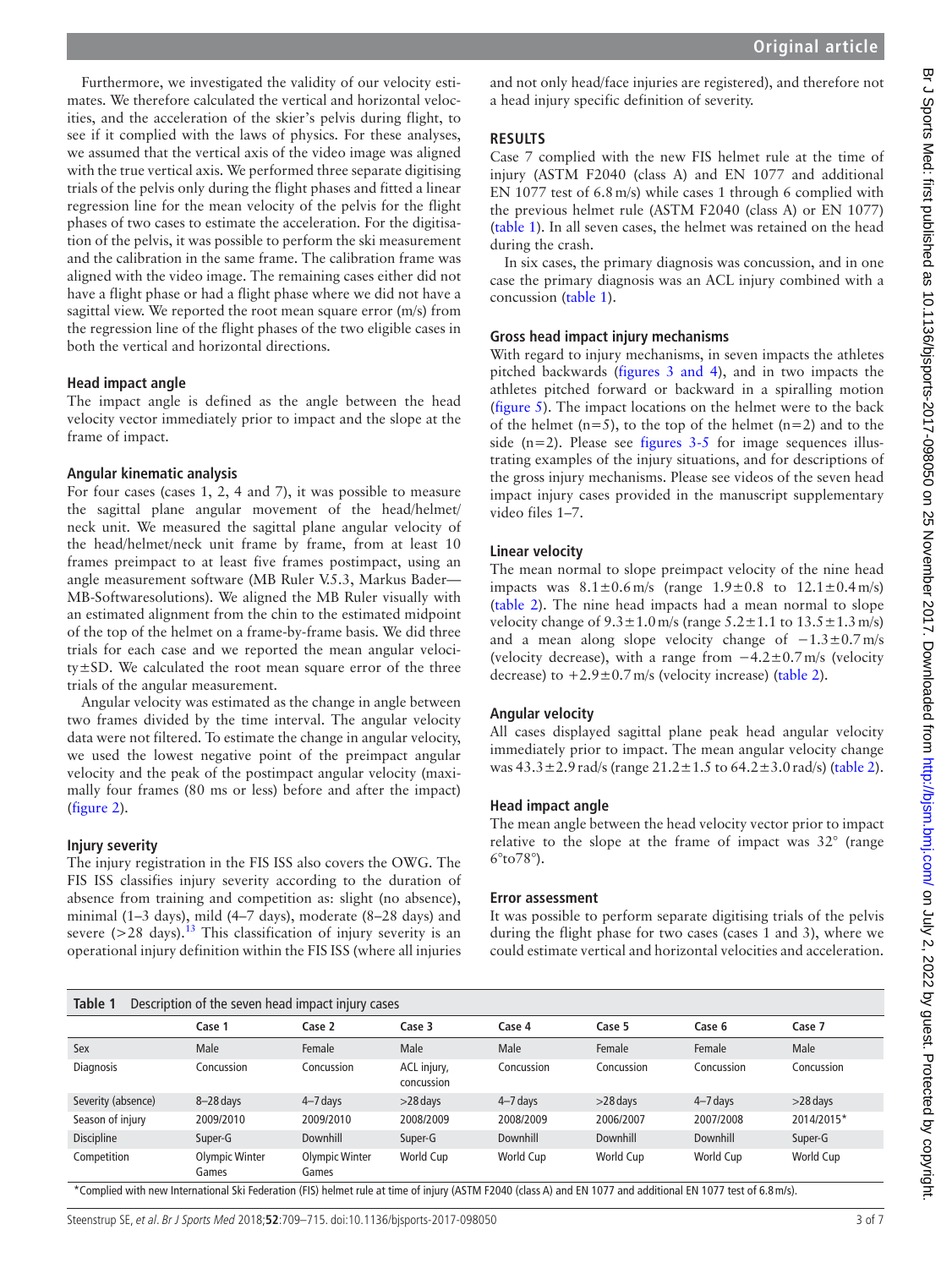Furthermore, we investigated the validity of our velocity estimates. We therefore calculated the vertical and horizontal velocities, and the acceleration of the skier's pelvis during flight, to see if it complied with the laws of physics. For these analyses, we assumed that the vertical axis of the video image was aligned with the true vertical axis. We performed three separate digitising trials of the pelvis only during the flight phases and fitted a linear regression line for the mean velocity of the pelvis for the flight phases of two cases to estimate the acceleration. For the digitisation of the pelvis, it was possible to perform the ski measurement and the calibration in the same frame. The calibration frame was aligned with the video image. The remaining cases either did not have a flight phase or had a flight phase where we did not have a sagittal view. We reported the root mean square error (m/s) from the regression line of the flight phases of the two eligible cases in both the vertical and horizontal directions.

## **Head impact angle**

The impact angle is defined as the angle between the head velocity vector immediately prior to impact and the slope at the frame of impact.

#### **Angular kinematic analysis**

For four cases (cases 1, 2, 4 and 7), it was possible to measure the sagittal plane angular movement of the head/helmet/ neck unit. We measured the sagittal plane angular velocity of the head/helmet/neck unit frame by frame, from at least 10 frames preimpact to at least five frames postimpact, using an angle measurement software (MB Ruler V.5.3, Markus Bader— MB-Softwaresolutions). We aligned the MB Ruler visually with an estimated alignment from the chin to the estimated midpoint of the top of the helmet on a frame-by-frame basis. We did three trials for each case and we reported the mean angular velocity±SD. We calculated the root mean square error of the three trials of the angular measurement.

Angular velocity was estimated as the change in angle between two frames divided by the time interval. The angular velocity data were not filtered. To estimate the change in angular velocity, we used the lowest negative point of the preimpact angular velocity and the peak of the postimpact angular velocity (maximally four frames (80 ms or less) before and after the impact) ([figure](#page-1-1) 2).

#### **Injury severity**

The injury registration in the FIS ISS also covers the OWG. The FIS ISS classifies injury severity according to the duration of absence from training and competition as: slight (no absence), minimal (1–3 days), mild (4–7 days), moderate (8–28 days) and severe  $(>28$  days).<sup>13</sup> This classification of injury severity is an operational injury definition within the FIS ISS (where all injuries

and not only head/face injuries are registered), and therefore not a head injury specific definition of severity.

## **Results**

Case 7 complied with the new FIS helmet rule at the time of injury (ASTM F2040 (class A) and EN 1077 and additional EN 1077 test of 6.8m/s) while cases 1 through 6 complied with the previous helmet rule (ASTM F2040 (class A) or EN 1077) ([table](#page-2-0) 1). In all seven cases, the helmet was retained on the head during the crash.

In six cases, the primary diagnosis was concussion, and in one case the primary diagnosis was an ACL injury combined with a concussion [\(table](#page-2-0) 1).

## **Gross head impact injury mechanisms**

With regard to injury mechanisms, in seven impacts the athletes pitched backwards (figures [3 and 4](#page-3-0)), and in two impacts the athletes pitched forward or backward in a spiralling motion ([figure](#page-3-1) 5). The impact locations on the helmet were to the back of the helmet  $(n=5)$ , to the top of the helmet  $(n=2)$  and to the side  $(n=2)$ . Please see [figures](#page-3-0) 3-5 for image sequences illustrating examples of the injury situations, and for descriptions of the gross injury mechanisms. Please see videos of the seven head impact injury cases provided in the manuscript [supplementary](https://dx.doi.org/10.1136/bjsports-2017-098050) [video files 1–7.](https://dx.doi.org/10.1136/bjsports-2017-098050)

## **Linear velocity**

The mean normal to slope preimpact velocity of the nine head impacts was  $8.1 \pm 0.6$  m/s (range  $1.9 \pm 0.8$  to  $12.1 \pm 0.4$  m/s) ([table](#page-4-0) 2). The nine head impacts had a mean normal to slope velocity change of  $9.3 \pm 1.0$  m/s (range  $5.2 \pm 1.1$  to  $13.5 \pm 1.3$  m/s) and a mean along slope velocity change of  $-1.3\pm0.7$  m/s (velocity decrease), with a range from −4.2±0.7m/s (velocity decrease) to  $+2.9\pm0.7$  m/s (velocity increase) ([table](#page-4-0) 2).

## **Angular velocity**

All cases displayed sagittal plane peak head angular velocity immediately prior to impact. The mean angular velocity change was  $43.3 \pm 2.9$  rad/s (range  $21.2 \pm 1.5$  to  $64.2 \pm 3.0$  rad/s) [\(table](#page-4-0) 2).

## **Head impact angle**

The mean angle between the head velocity vector prior to impact relative to the slope at the frame of impact was 32° (range 6°to78°).

## **Error assessment**

It was possible to perform separate digitising trials of the pelvis during the flight phase for two cases (cases 1 and 3), where we could estimate vertical and horizontal velocities and acceleration.

<span id="page-2-0"></span>

| Table 1<br>Description of the seven head impact injury cases |                         |                         |                           |              |            |              |            |  |  |
|--------------------------------------------------------------|-------------------------|-------------------------|---------------------------|--------------|------------|--------------|------------|--|--|
|                                                              | Case 1                  | Case 2                  | Case 3                    | Case 4       | Case 5     | Case 6       | Case 7     |  |  |
| Sex                                                          | Male                    | Female                  | Male                      | Male         | Female     | Female       | Male       |  |  |
| <b>Diagnosis</b>                                             | Concussion              | Concussion              | ACL injury,<br>concussion | Concussion   | Concussion | Concussion   | Concussion |  |  |
| Severity (absence)                                           | $8 - 28$ days           | $4 - 7$ days            | $>28$ days                | $4 - 7$ days | $>28$ days | $4 - 7$ days | $>28$ days |  |  |
| Season of injury                                             | 2009/2010               | 2009/2010               | 2008/2009                 | 2008/2009    | 2006/2007  | 2007/2008    | 2014/2015* |  |  |
| <b>Discipline</b>                                            | Super-G                 | Downhill                | Super-G                   | Downhill     | Downhill   | Downhill     | Super-G    |  |  |
| Competition                                                  | Olympic Winter<br>Games | Olympic Winter<br>Games | World Cup                 | World Cup    | World Cup  | World Cup    | World Cup  |  |  |

\*Complied with new International Ski Federation (FIS) helmet rule at time of injury (ASTM F2040 (class A) and EN 1077 and additional EN 1077 test of 6.8m/s).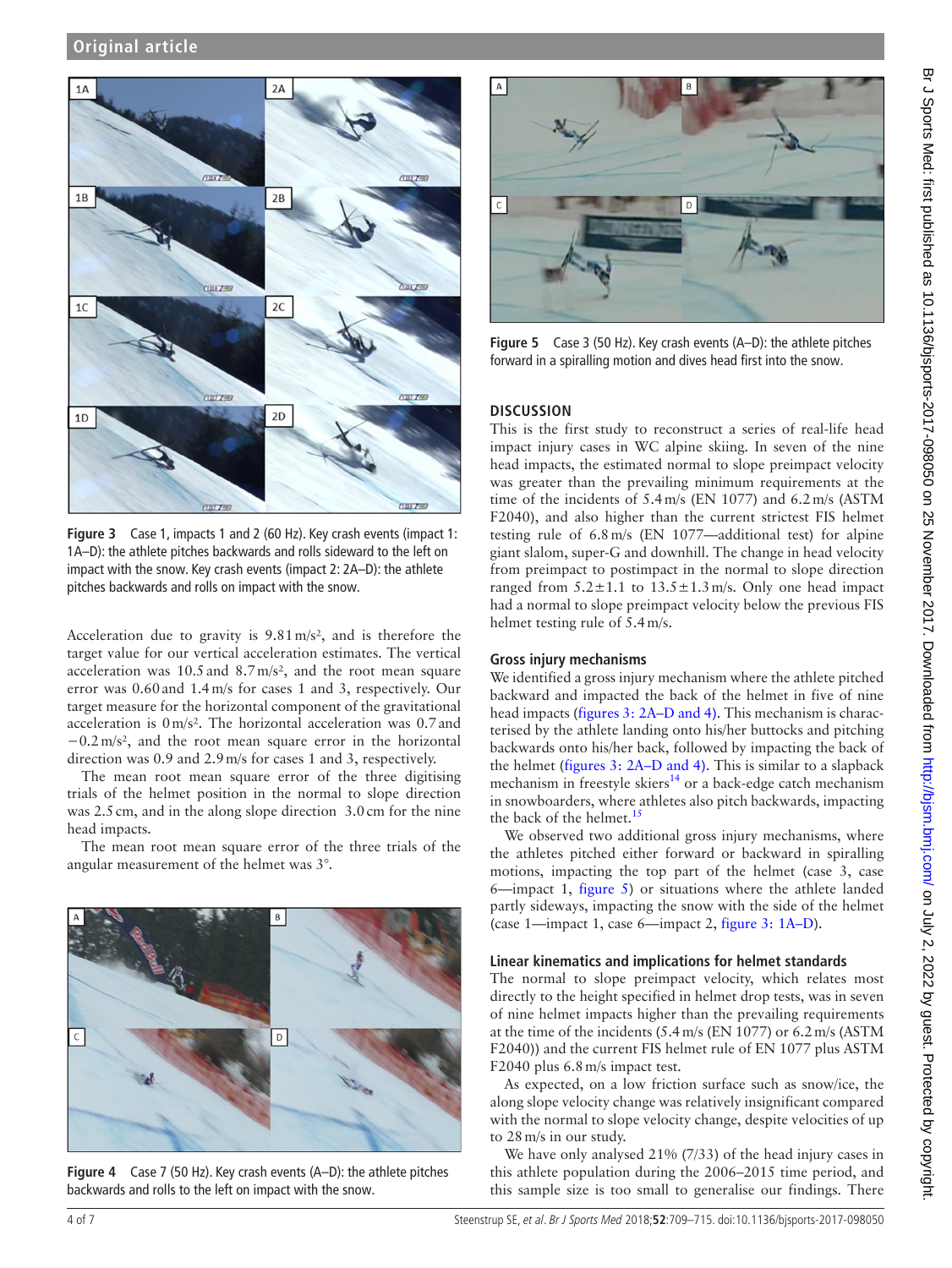

<span id="page-3-0"></span>**Figure 3** Case 1, impacts 1 and 2 (60 Hz). Key crash events (impact 1: 1A–D): the athlete pitches backwards and rolls sideward to the left on impact with the snow. Key crash events (impact 2: 2A–D): the athlete pitches backwards and rolls on impact with the snow.

Acceleration due to gravity is 9.81m/s², and is therefore the target value for our vertical acceleration estimates. The vertical acceleration was 10.5and 8.7m/s², and the root mean square error was 0.60and 1.4m/s for cases 1 and 3, respectively. Our target measure for the horizontal component of the gravitational acceleration is 0m/s². The horizontal acceleration was 0.7and −0.2m/s², and the root mean square error in the horizontal direction was 0.9 and 2.9m/s for cases 1 and 3, respectively.

The mean root mean square error of the three digitising trials of the helmet position in the normal to slope direction was 2.5 cm, and in the along slope direction 3.0 cm for the nine head impacts.

The mean root mean square error of the three trials of the angular measurement of the helmet was 3°.



**Figure 4** Case 7 (50 Hz). Key crash events (A–D): the athlete pitches backwards and rolls to the left on impact with the snow.



**Figure 5** Case 3 (50 Hz). Key crash events (A–D): the athlete pitches forward in a spiralling motion and dives head first into the snow.

### <span id="page-3-1"></span>**Discussion**

This is the first study to reconstruct a series of real-life head impact injury cases in WC alpine skiing. In seven of the nine head impacts, the estimated normal to slope preimpact velocity was greater than the prevailing minimum requirements at the time of the incidents of 5.4m/s (EN 1077) and 6.2m/s (ASTM F2040), and also higher than the current strictest FIS helmet testing rule of 6.8m/s (EN 1077—additional test) for alpine giant slalom, super-G and downhill. The change in head velocity from preimpact to postimpact in the normal to slope direction ranged from  $5.2 \pm 1.1$  to  $13.5 \pm 1.3$  m/s. Only one head impact had a normal to slope preimpact velocity below the previous FIS helmet testing rule of 5.4m/s.

#### **Gross injury mechanisms**

We identified a gross injury mechanism where the athlete pitched backward and impacted the back of the helmet in five of nine head impacts (figures [3: 2A–D and 4\).](#page-1-1) This mechanism is characterised by the athlete landing onto his/her buttocks and pitching backwards onto his/her back, followed by impacting the back of the helmet (figures [3: 2A–D and 4\).](#page-1-1) This is similar to a slapback mechanism in freestyle skiers $14$  or a back-edge catch mechanism in snowboarders, where athletes also pitch backwards, impacting the back of the helmet. $15$ 

We observed two additional gross injury mechanisms, where the athletes pitched either forward or backward in spiralling motions, impacting the top part of the helmet (case 3, case 6—impact 1, [figure](#page-3-1) 5) or situations where the athlete landed partly sideways, impacting the snow with the side of the helmet (case 1—impact 1, case 6—impact 2, figure [3: 1A–D](#page-1-0)).

### **Linear kinematics and implications for helmet standards**

The normal to slope preimpact velocity, which relates most directly to the height specified in helmet drop tests, was in seven of nine helmet impacts higher than the prevailing requirements at the time of the incidents (5.4m/s (EN 1077) or 6.2m/s (ASTM F2040)) and the current FIS helmet rule of EN 1077 plus ASTM F2040 plus 6.8m/s impact test.

As expected, on a low friction surface such as snow/ice, the along slope velocity change was relatively insignificant compared with the normal to slope velocity change, despite velocities of up to 28m/s in our study.

We have only analysed 21% (7/33) of the head injury cases in this athlete population during the 2006–2015 time period, and this sample size is too small to generalise our findings. There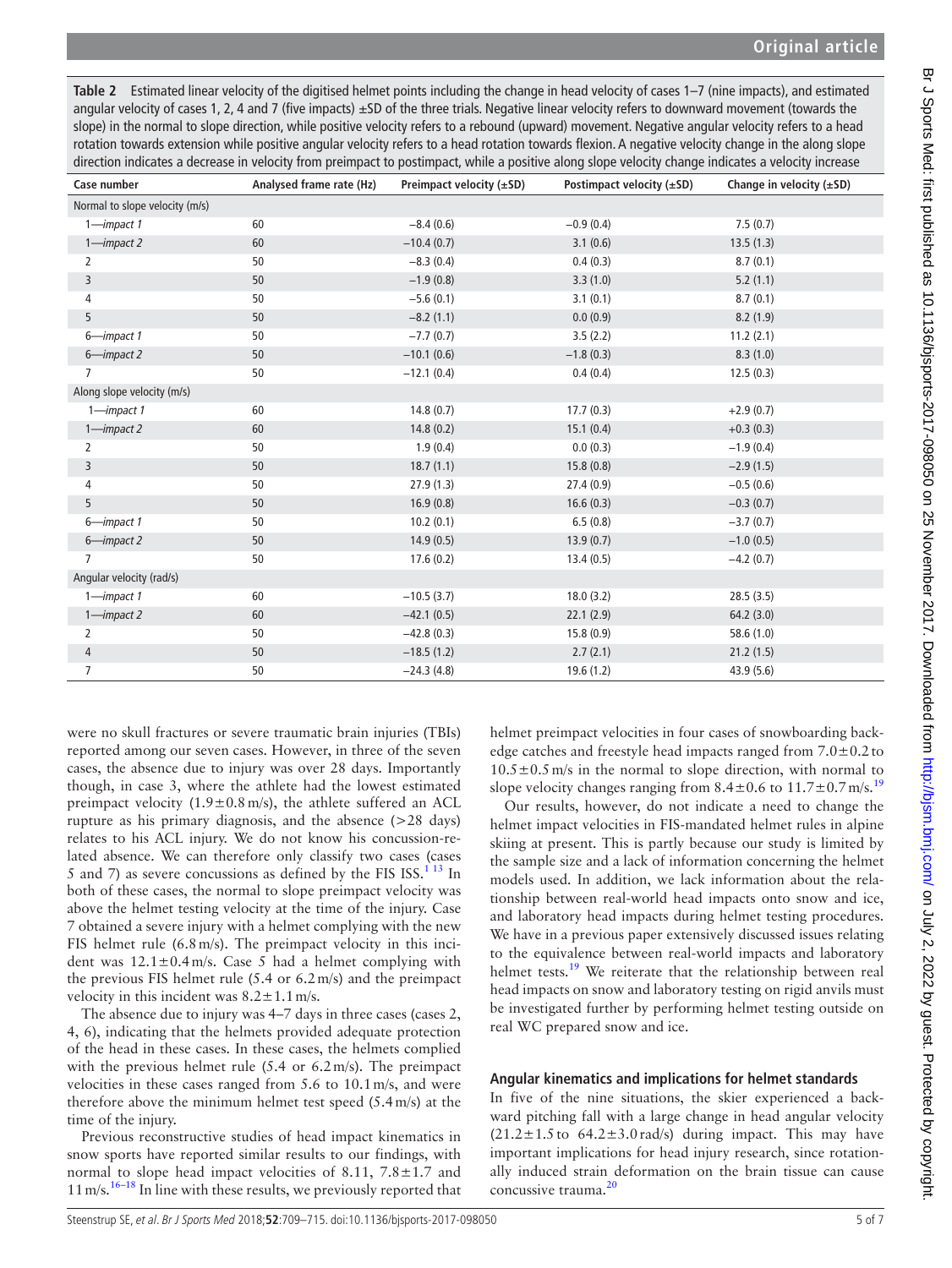<span id="page-4-0"></span>**Table 2** Estimated linear velocity of the digitised helmet points including the change in head velocity of cases 1–7 (nine impacts), and estimated angular velocity of cases 1, 2, 4 and 7 (five impacts)  $\pm$ SD of the three trials. Negative linear velocity refers to downward movement (towards the slope) in the normal to slope direction, while positive velocity refers to a rebound (upward) movement. Negative angular velocity refers to a head rotation towards extension while positive angular velocity refers to a head rotation towards flexion. A negative velocity change in the along slope direction indicates a decrease in velocity from preimpact to postimpact, while a positive along slope velocity change indicates a velocity increase

| Case number                    | Analysed frame rate (Hz) | Preimpact velocity (±SD) | Postimpact velocity $(\pm SD)$ | Change in velocity $(\pm SD)$ |
|--------------------------------|--------------------------|--------------------------|--------------------------------|-------------------------------|
| Normal to slope velocity (m/s) |                          |                          |                                |                               |
| $1$ -impact 1                  | 60                       | $-8.4(0.6)$              | $-0.9(0.4)$                    | 7.5(0.7)                      |
| $1$ -impact 2                  | 60                       | $-10.4(0.7)$             | 3.1(0.6)                       | 13.5(1.3)                     |
| $\overline{2}$                 | 50                       | $-8.3(0.4)$              | 0.4(0.3)                       | 8.7(0.1)                      |
| 3                              | 50                       | $-1.9(0.8)$              | 3.3(1.0)                       | 5.2(1.1)                      |
| $\overline{4}$                 | 50                       | $-5.6(0.1)$              | 3.1(0.1)                       | 8.7(0.1)                      |
| 5                              | 50                       | $-8.2(1.1)$              | 0.0(0.9)                       | 8.2(1.9)                      |
| 6-impact 1                     | 50                       | $-7.7(0.7)$              | 3.5(2.2)                       | 11.2(2.1)                     |
| 6-impact 2                     | 50                       | $-10.1(0.6)$             | $-1.8(0.3)$                    | 8.3(1.0)                      |
|                                | 50                       | $-12.1(0.4)$             | 0.4(0.4)                       | 12.5(0.3)                     |
| Along slope velocity (m/s)     |                          |                          |                                |                               |
| $1$ -impact 1                  | 60                       | 14.8(0.7)                | 17.7(0.3)                      | $+2.9(0.7)$                   |
| $1$ -impact 2                  | 60                       | 14.8(0.2)                | 15.1(0.4)                      | $+0.3(0.3)$                   |
| 2                              | 50                       | 1.9(0.4)                 | 0.0(0.3)                       | $-1.9(0.4)$                   |
| $\overline{3}$                 | 50                       | 18.7(1.1)                | 15.8(0.8)                      | $-2.9(1.5)$                   |
| $\overline{4}$                 | 50                       | 27.9(1.3)                | 27.4(0.9)                      | $-0.5(0.6)$                   |
| 5                              | 50                       | 16.9(0.8)                | 16.6(0.3)                      | $-0.3(0.7)$                   |
| 6-impact 1                     | 50                       | 10.2(0.1)                | 6.5(0.8)                       | $-3.7(0.7)$                   |
| 6-impact 2                     | 50                       | 14.9(0.5)                | 13.9(0.7)                      | $-1.0(0.5)$                   |
| $\overline{7}$                 | 50                       | 17.6(0.2)                | 13.4(0.5)                      | $-4.2(0.7)$                   |
| Angular velocity (rad/s)       |                          |                          |                                |                               |
| $1$ -impact 1                  | 60                       | $-10.5(3.7)$             | 18.0(3.2)                      | 28.5(3.5)                     |
| $1$ -impact 2                  | 60                       | $-42.1(0.5)$             | 22.1(2.9)                      | 64.2(3.0)                     |
| $\overline{2}$                 | 50                       | $-42.8(0.3)$             | 15.8(0.9)                      | 58.6(1.0)                     |
| 4                              | 50                       | $-18.5(1.2)$             | 2.7(2.1)                       | 21.2(1.5)                     |
| $\overline{7}$                 | 50                       | $-24.3(4.8)$             | 19.6(1.2)                      | 43.9(5.6)                     |

were no skull fractures or severe traumatic brain injuries (TBIs) reported among our seven cases. However, in three of the seven cases, the absence due to injury was over 28 days. Importantly though, in case 3, where the athlete had the lowest estimated preimpact velocity  $(1.9 \pm 0.8 \text{ m/s})$ , the athlete suffered an ACL rupture as his primary diagnosis, and the absence (>28 days) relates to his ACL injury. We do not know his concussion-related absence. We can therefore only classify two cases (cases 5 and 7) as severe concussions as defined by the FIS ISS.<sup>[1 13](#page-6-0)</sup> In both of these cases, the normal to slope preimpact velocity was above the helmet testing velocity at the time of the injury. Case 7 obtained a severe injury with a helmet complying with the new FIS helmet rule (6.8m/s). The preimpact velocity in this incident was  $12.1 \pm 0.4$  m/s. Case 5 had a helmet complying with the previous FIS helmet rule (5.4 or 6.2m/s) and the preimpact velocity in this incident was  $8.2 \pm 1.1$  m/s.

The absence due to injury was 4–7 days in three cases (cases 2, 4, 6), indicating that the helmets provided adequate protection of the head in these cases. In these cases, the helmets complied with the previous helmet rule (5.4 or 6.2 m/s). The preimpact velocities in these cases ranged from 5.6 to 10.1m/s, and were therefore above the minimum helmet test speed (5.4m/s) at the time of the injury.

Previous reconstructive studies of head impact kinematics in snow sports have reported similar results to our findings, with normal to slope head impact velocities of 8.11,  $7.8 \pm 1.7$  and 11 m/s.<sup>[16–18](#page-6-11)</sup> In line with these results, we previously reported that helmet preimpact velocities in four cases of snowboarding backedge catches and freestyle head impacts ranged from  $7.0\pm0.2$  to  $10.5\pm0.5$  m/s in the normal to slope direction, with normal to slope velocity changes ranging from  $8.4 \pm 0.6$  to  $11.7 \pm 0.7$  m/s.<sup>[19](#page-6-12)</sup>

Our results, however, do not indicate a need to change the helmet impact velocities in FIS-mandated helmet rules in alpine skiing at present. This is partly because our study is limited by the sample size and a lack of information concerning the helmet models used. In addition, we lack information about the relationship between real-world head impacts onto snow and ice, and laboratory head impacts during helmet testing procedures. We have in a previous paper extensively discussed issues relating to the equivalence between real-world impacts and laboratory helmet tests.<sup>19</sup> We reiterate that the relationship between real head impacts on snow and laboratory testing on rigid anvils must be investigated further by performing helmet testing outside on real WC prepared snow and ice.

# **Angular kinematics and implications for helmet standards**

In five of the nine situations, the skier experienced a backward pitching fall with a large change in head angular velocity  $(21.2 \pm 1.5 \text{ to } 64.2 \pm 3.0 \text{ rad/s})$  during impact. This may have important implications for head injury research, since rotationally induced strain deformation on the brain tissue can cause concussive trauma.<sup>[20](#page-6-13)</sup>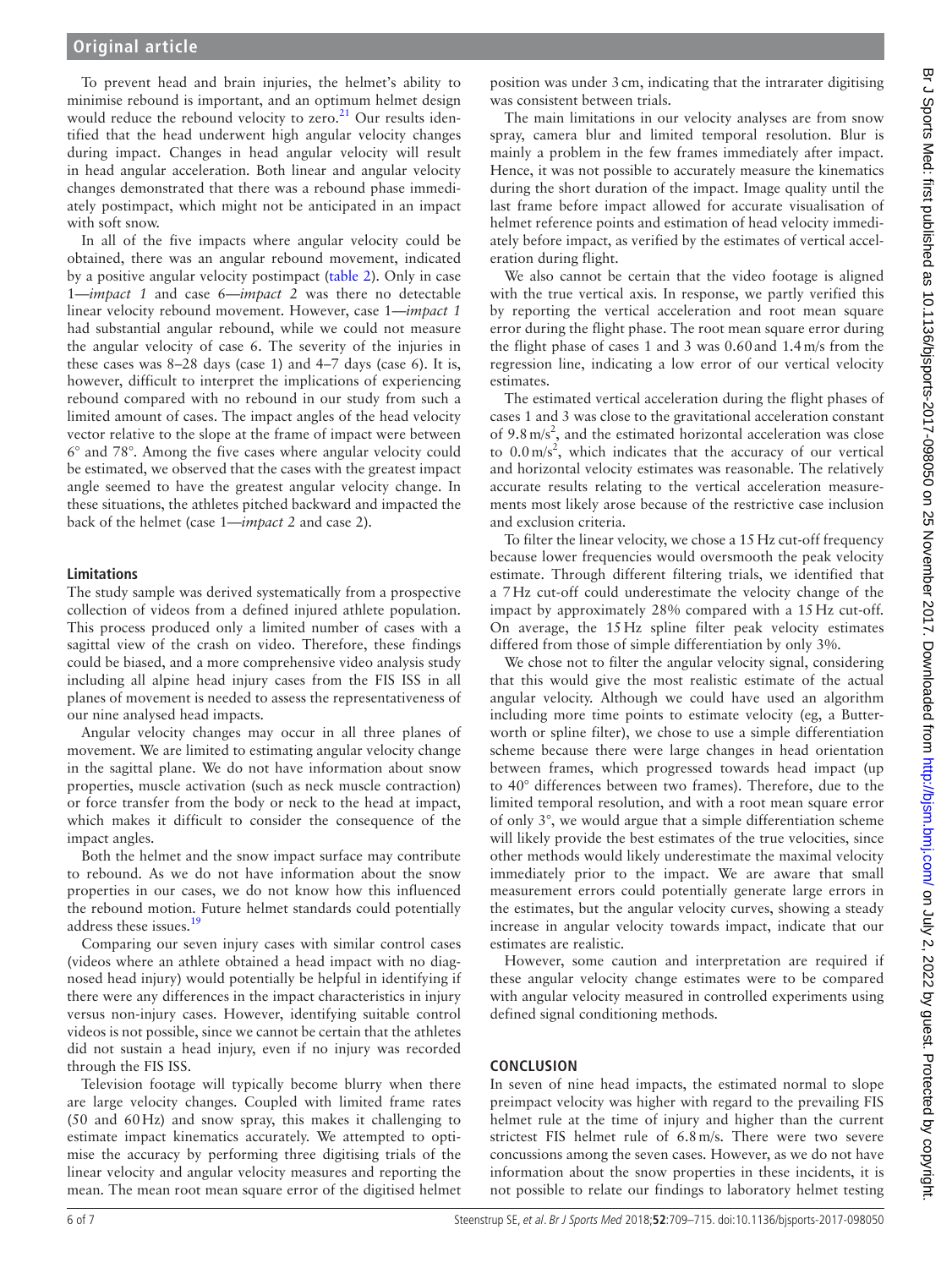To prevent head and brain injuries, the helmet's ability to minimise rebound is important, and an optimum helmet design would reduce the rebound velocity to zero.<sup>21</sup> Our results identified that the head underwent high angular velocity changes during impact. Changes in head angular velocity will result in head angular acceleration. Both linear and angular velocity changes demonstrated that there was a rebound phase immediately postimpact, which might not be anticipated in an impact with soft snow.

In all of the five impacts where angular velocity could be obtained, there was an angular rebound movement, indicated by a positive angular velocity postimpact ([table](#page-4-0) 2). Only in case 1—*impact 1* and case 6—*impact 2* was there no detectable linear velocity rebound movement. However, case 1—*impact 1* had substantial angular rebound, while we could not measure the angular velocity of case 6. The severity of the injuries in these cases was 8–28 days (case 1) and 4–7 days (case 6). It is, however, difficult to interpret the implications of experiencing rebound compared with no rebound in our study from such a limited amount of cases. The impact angles of the head velocity vector relative to the slope at the frame of impact were between 6° and 78°. Among the five cases where angular velocity could be estimated, we observed that the cases with the greatest impact angle seemed to have the greatest angular velocity change. In these situations, the athletes pitched backward and impacted the back of the helmet (case 1—*impact 2* and case 2).

#### **Limitations**

The study sample was derived systematically from a prospective collection of videos from a defined injured athlete population. This process produced only a limited number of cases with a sagittal view of the crash on video. Therefore, these findings could be biased, and a more comprehensive video analysis study including all alpine head injury cases from the FIS ISS in all planes of movement is needed to assess the representativeness of our nine analysed head impacts.

Angular velocity changes may occur in all three planes of movement. We are limited to estimating angular velocity change in the sagittal plane. We do not have information about snow properties, muscle activation (such as neck muscle contraction) or force transfer from the body or neck to the head at impact, which makes it difficult to consider the consequence of the impact angles.

Both the helmet and the snow impact surface may contribute to rebound. As we do not have information about the snow properties in our cases, we do not know how this influenced the rebound motion. Future helmet standards could potentially address these issues.<sup>19</sup>

Comparing our seven injury cases with similar control cases (videos where an athlete obtained a head impact with no diagnosed head injury) would potentially be helpful in identifying if there were any differences in the impact characteristics in injury versus non-injury cases. However, identifying suitable control videos is not possible, since we cannot be certain that the athletes did not sustain a head injury, even if no injury was recorded through the FIS ISS.

Television footage will typically become blurry when there are large velocity changes. Coupled with limited frame rates (50 and 60Hz) and snow spray, this makes it challenging to estimate impact kinematics accurately. We attempted to optimise the accuracy by performing three digitising trials of the linear velocity and angular velocity measures and reporting the mean. The mean root mean square error of the digitised helmet

position was under 3cm, indicating that the intrarater digitising was consistent between trials.

The main limitations in our velocity analyses are from snow spray, camera blur and limited temporal resolution. Blur is mainly a problem in the few frames immediately after impact. Hence, it was not possible to accurately measure the kinematics during the short duration of the impact. Image quality until the last frame before impact allowed for accurate visualisation of helmet reference points and estimation of head velocity immediately before impact, as verified by the estimates of vertical acceleration during flight.

We also cannot be certain that the video footage is aligned with the true vertical axis. In response, we partly verified this by reporting the vertical acceleration and root mean square error during the flight phase. The root mean square error during the flight phase of cases 1 and 3 was 0.60and 1.4m/s from the regression line, indicating a low error of our vertical velocity estimates.

The estimated vertical acceleration during the flight phases of cases 1 and 3 was close to the gravitational acceleration constant of  $9.8 \text{ m/s}^2$ , and the estimated horizontal acceleration was close to  $0.0 \text{ m/s}^2$ , which indicates that the accuracy of our vertical and horizontal velocity estimates was reasonable. The relatively accurate results relating to the vertical acceleration measurements most likely arose because of the restrictive case inclusion and exclusion criteria.

To filter the linear velocity, we chose a 15Hz cut-off frequency because lower frequencies would oversmooth the peak velocity estimate. Through different filtering trials, we identified that a 7Hz cut-off could underestimate the velocity change of the impact by approximately 28% compared with a 15Hz cut-off. On average, the 15Hz spline filter peak velocity estimates differed from those of simple differentiation by only 3%.

We chose not to filter the angular velocity signal, considering that this would give the most realistic estimate of the actual angular velocity. Although we could have used an algorithm including more time points to estimate velocity (eg, a Butterworth or spline filter), we chose to use a simple differentiation scheme because there were large changes in head orientation between frames, which progressed towards head impact (up to 40° differences between two frames). Therefore, due to the limited temporal resolution, and with a root mean square error of only 3°, we would argue that a simple differentiation scheme will likely provide the best estimates of the true velocities, since other methods would likely underestimate the maximal velocity immediately prior to the impact. We are aware that small measurement errors could potentially generate large errors in the estimates, but the angular velocity curves, showing a steady increase in angular velocity towards impact, indicate that our estimates are realistic.

However, some caution and interpretation are required if these angular velocity change estimates were to be compared with angular velocity measured in controlled experiments using defined signal conditioning methods.

#### **Conclusion**

In seven of nine head impacts, the estimated normal to slope preimpact velocity was higher with regard to the prevailing FIS helmet rule at the time of injury and higher than the current strictest FIS helmet rule of 6.8m/s. There were two severe concussions among the seven cases. However, as we do not have information about the snow properties in these incidents, it is not possible to relate our findings to laboratory helmet testing